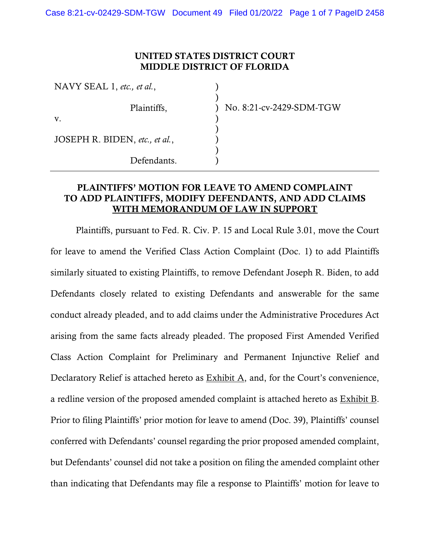### UNITED STATES DISTRICT COURT MIDDLE DISTRICT OF FLORIDA

| NAVY SEAL 1, etc., et al.,     |                          |
|--------------------------------|--------------------------|
| Plaintiffs,                    | No. 8:21-cv-2429-SDM-TGW |
| $V_{\cdot}$                    |                          |
| JOSEPH R. BIDEN, etc., et al., |                          |
| Defendants.                    |                          |

### PLAINTIFFS' MOTION FOR LEAVE TO AMEND COMPLAINT TO ADD PLAINTIFFS, MODIFY DEFENDANTS, AND ADD CLAIMS WITH MEMORANDUM OF LAW IN SUPPORT

Plaintiffs, pursuant to Fed. R. Civ. P. 15 and Local Rule 3.01, move the Court for leave to amend the Verified Class Action Complaint (Doc. 1) to add Plaintiffs similarly situated to existing Plaintiffs, to remove Defendant Joseph R. Biden, to add Defendants closely related to existing Defendants and answerable for the same conduct already pleaded, and to add claims under the Administrative Procedures Act arising from the same facts already pleaded. The proposed First Amended Verified Class Action Complaint for Preliminary and Permanent Injunctive Relief and Declaratory Relief is attached hereto as  $\frac{Exhibit A}{A}$ , and, for the Court's convenience, a redline version of the proposed amended complaint is attached hereto as Exhibit B. Prior to filing Plaintiffs' prior motion for leave to amend (Doc. 39), Plaintiffs' counsel conferred with Defendants' counsel regarding the prior proposed amended complaint, but Defendants' counsel did not take a position on filing the amended complaint other than indicating that Defendants may file a response to Plaintiffs' motion for leave to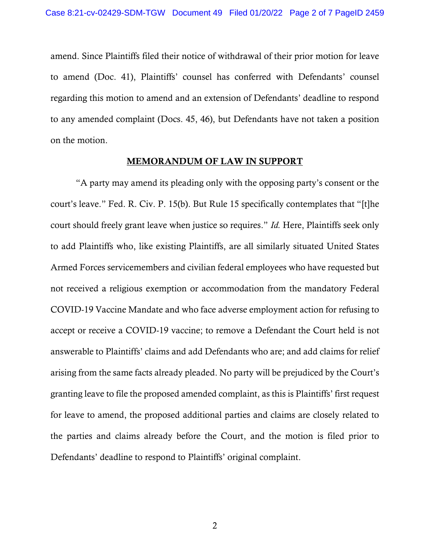amend. Since Plaintiffs filed their notice of withdrawal of their prior motion for leave to amend (Doc. 41), Plaintiffs' counsel has conferred with Defendants' counsel regarding this motion to amend and an extension of Defendants' deadline to respond to any amended complaint (Docs. 45, 46), but Defendants have not taken a position on the motion.

#### MEMORANDUM OF LAW IN SUPPORT

"A party may amend its pleading only with the opposing party's consent or the court's leave." Fed. R. Civ. P. 15(b). But Rule 15 specifically contemplates that "[t]he court should freely grant leave when justice so requires." *Id.* Here, Plaintiffs seek only to add Plaintiffs who, like existing Plaintiffs, are all similarly situated United States Armed Forces servicemembers and civilian federal employees who have requested but not received a religious exemption or accommodation from the mandatory Federal COVID-19 Vaccine Mandate and who face adverse employment action for refusing to accept or receive a COVID-19 vaccine; to remove a Defendant the Court held is not answerable to Plaintiffs' claims and add Defendants who are; and add claims for relief arising from the same facts already pleaded. No party will be prejudiced by the Court's granting leave to file the proposed amended complaint, as this is Plaintiffs' first request for leave to amend, the proposed additional parties and claims are closely related to the parties and claims already before the Court, and the motion is filed prior to Defendants' deadline to respond to Plaintiffs' original complaint.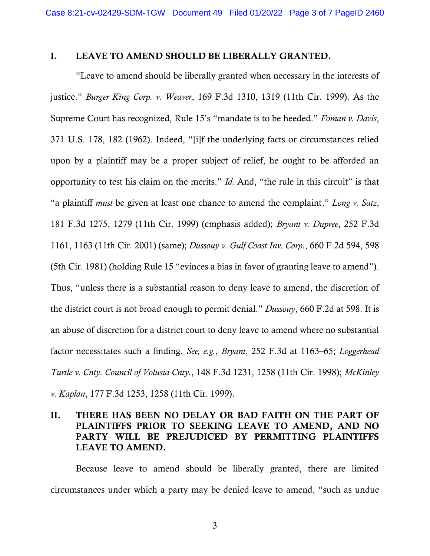### I. LEAVE TO AMEND SHOULD BE LIBERALLY GRANTED.

"Leave to amend should be liberally granted when necessary in the interests of justice." *Burger King Corp. v. Weaver*, 169 F.3d 1310, 1319 (11th Cir. 1999). As the Supreme Court has recognized, Rule 15's "mandate is to be heeded." *Foman v. Davis*, 371 U.S. 178, 182 (1962). Indeed, "[i]f the underlying facts or circumstances relied upon by a plaintiff may be a proper subject of relief, he ought to be afforded an opportunity to test his claim on the merits." *Id.* And, "the rule in this circuit" is that "a plaintiff *must* be given at least one chance to amend the complaint." *Long v. Satz*, 181 F.3d 1275, 1279 (11th Cir. 1999) (emphasis added); *Bryant v. Dupree*, 252 F.3d 1161, 1163 (11th Cir. 2001) (same); *Dussouy v. Gulf Coast Inv. Corp.*, 660 F.2d 594, 598 (5th Cir. 1981) (holding Rule 15 "evinces a bias in favor of granting leave to amend"). Thus, "unless there is a substantial reason to deny leave to amend, the discretion of the district court is not broad enough to permit denial." *Dussouy*, 660 F.2d at 598. It is an abuse of discretion for a district court to deny leave to amend where no substantial factor necessitates such a finding. *See, e.g.*, *Bryant*, 252 F.3d at 1163–65; *Loggerhead Turtle v. Cnty. Council of Volusia Cnty.*, 148 F.3d 1231, 1258 (11th Cir. 1998); *McKinley v. Kaplan*, 177 F.3d 1253, 1258 (11th Cir. 1999).

# II. THERE HAS BEEN NO DELAY OR BAD FAITH ON THE PART OF PLAINTIFFS PRIOR TO SEEKING LEAVE TO AMEND, AND NO PARTY WILL BE PREJUDICED BY PERMITTING PLAINTIFFS LEAVE TO AMEND.

Because leave to amend should be liberally granted, there are limited circumstances under which a party may be denied leave to amend, "such as undue

3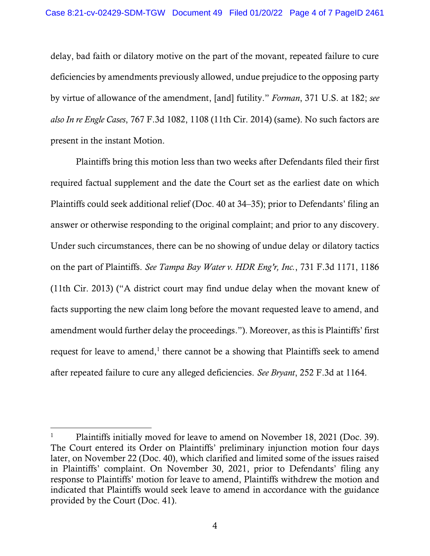delay, bad faith or dilatory motive on the part of the movant, repeated failure to cure deficiencies by amendments previously allowed, undue prejudice to the opposing party by virtue of allowance of the amendment, [and] futility." *Forman*, 371 U.S. at 182; *see also In re Engle Cases*, 767 F.3d 1082, 1108 (11th Cir. 2014) (same). No such factors are present in the instant Motion.

Plaintiffs bring this motion less than two weeks after Defendants filed their first required factual supplement and the date the Court set as the earliest date on which Plaintiffs could seek additional relief (Doc. 40 at 34–35); prior to Defendants' filing an answer or otherwise responding to the original complaint; and prior to any discovery. Under such circumstances, there can be no showing of undue delay or dilatory tactics on the part of Plaintiffs. *See Tampa Bay Water v. HDR Eng'r, Inc.*, 731 F.3d 1171, 1186 (11th Cir. 2013) ("A district court may find undue delay when the movant knew of facts supporting the new claim long before the movant requested leave to amend, and amendment would further delay the proceedings."). Moreover, as this is Plaintiffs' first request for leave to amend, $<sup>1</sup>$  there cannot be a showing that Plaintiffs seek to amend</sup> after repeated failure to cure any alleged deficiencies. *See Bryant*, 252 F.3d at 1164.

<sup>&</sup>lt;sup>1</sup> Plaintiffs initially moved for leave to amend on November 18, 2021 (Doc. 39). The Court entered its Order on Plaintiffs' preliminary injunction motion four days later, on November 22 (Doc. 40), which clarified and limited some of the issues raised in Plaintiffs' complaint. On November 30, 2021, prior to Defendants' filing any response to Plaintiffs' motion for leave to amend, Plaintiffs withdrew the motion and indicated that Plaintiffs would seek leave to amend in accordance with the guidance provided by the Court (Doc. 41).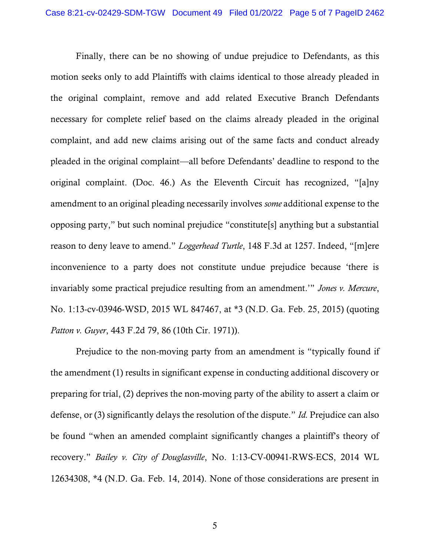Finally, there can be no showing of undue prejudice to Defendants, as this motion seeks only to add Plaintiffs with claims identical to those already pleaded in the original complaint, remove and add related Executive Branch Defendants necessary for complete relief based on the claims already pleaded in the original complaint, and add new claims arising out of the same facts and conduct already pleaded in the original complaint—all before Defendants' deadline to respond to the original complaint. (Doc. 46.) As the Eleventh Circuit has recognized, "[a]ny amendment to an original pleading necessarily involves *some* additional expense to the opposing party," but such nominal prejudice "constitute[s] anything but a substantial reason to deny leave to amend." *Loggerhead Turtle*, 148 F.3d at 1257. Indeed, "[m]ere inconvenience to a party does not constitute undue prejudice because 'there is invariably some practical prejudice resulting from an amendment.'" *Jones v. Mercure*, No. 1:13-cv-03946-WSD, 2015 WL 847467, at \*3 (N.D. Ga. Feb. 25, 2015) (quoting *Patton v. Guyer*, 443 F.2d 79, 86 (10th Cir. 1971)).

Prejudice to the non-moving party from an amendment is "typically found if the amendment (1) results in significant expense in conducting additional discovery or preparing for trial, (2) deprives the non-moving party of the ability to assert a claim or defense, or (3) significantly delays the resolution of the dispute." *Id.* Prejudice can also be found "when an amended complaint significantly changes a plaintiff's theory of recovery." *Bailey v. City of Douglasville*, No. 1:13-CV-00941-RWS-ECS, 2014 WL 12634308, \*4 (N.D. Ga. Feb. 14, 2014). None of those considerations are present in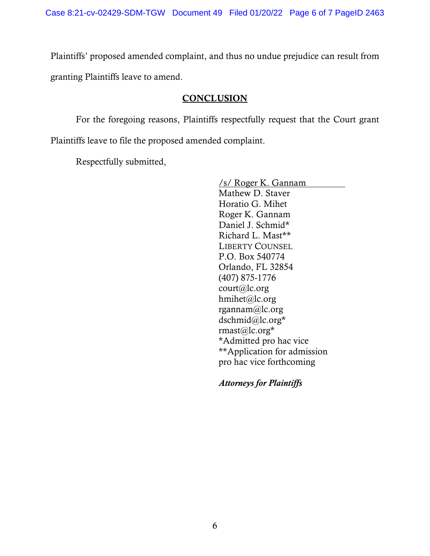Plaintiffs' proposed amended complaint, and thus no undue prejudice can result from granting Plaintiffs leave to amend.

### **CONCLUSION**

For the foregoing reasons, Plaintiffs respectfully request that the Court grant Plaintiffs leave to file the proposed amended complaint.

Respectfully submitted,

/s/ Roger K. Gannam Mathew D. Staver Horatio G. Mihet Roger K. Gannam Daniel J. Schmid\* Richard L. Mast\*\* LIBERTY COUNSEL P.O. Box 540774 Orlando, FL 32854 (407) 875-1776 court@lc.org hmihet@lc.org rgannam@lc.org dschmid@lc.org\* rmast@lc.org\* \*Admitted pro hac vice \*\*Application for admission pro hac vice forthcoming

*Attorneys for Plaintiffs*